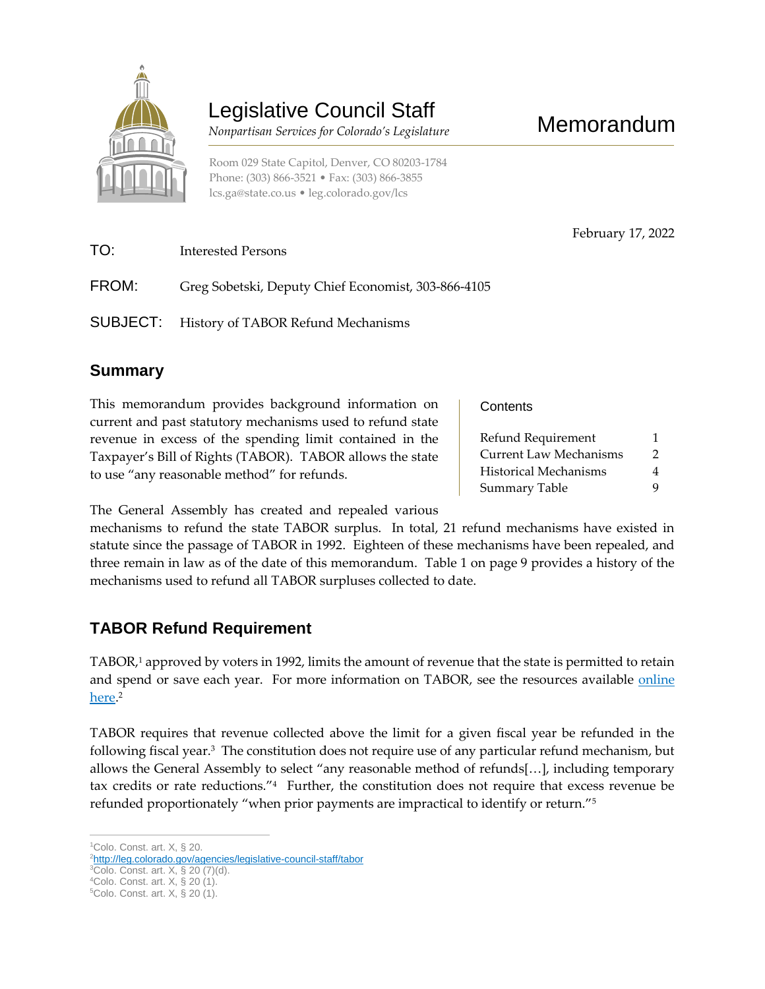

# Legislative Council Staff

 *Nonpartisan Services for Colorado's Legislature*

February 17, 2022

Room 029 State Capitol, Denver, CO 80203-1784 Phone: (303) 866-3521 • Fax: (303) 866-3855 [lcs.ga@state.co.us](mailto:lcs.ga@state.co.us) • [leg.colorado.gov/lcs](http://leg.colorado.gov/lcs)

| TO:   | Interested Persons                                  |
|-------|-----------------------------------------------------|
| FROM: | Greg Sobetski, Deputy Chief Economist, 303-866-4105 |
|       | <b>SUBJECT:</b> History of TABOR Refund Mechanisms  |

### **Summary**

This memorandum provides background information on current and past statutory mechanisms used to refund state revenue in excess of the spending limit contained in the Taxpayer's Bill of Rights (TABOR). TABOR allows the state to use "any reasonable method" for refunds.

**Contents** 

| Refund Requirement            |   |  |
|-------------------------------|---|--|
| <b>Current Law Mechanisms</b> | 2 |  |
| <b>Historical Mechanisms</b>  | 4 |  |
| <b>Summary Table</b>          | 9 |  |
|                               |   |  |

The General Assembly has created and repealed various

mechanisms to refund the state TABOR surplus. In total, 21 refund mechanisms have existed in statute since the passage of TABOR in 1992. Eighteen of these mechanisms have been repealed, and three remain in law as of the date of this memorandum. Table 1 on page 9 provides a history of the mechanisms used to refund all TABOR surpluses collected to date.

# **TABOR Refund Requirement**

TABOR,<sup>1</sup> approved by voters in 1992, limits the amount of revenue that the state is permitted to retain and spend or save each year. For more information on TABOR, see the resources available online [here.](https://leg.colorado.gov/agencies/legislative-council-staff/tabor) 2

TABOR requires that revenue collected above the limit for a given fiscal year be refunded in the following fiscal year.<sup>3</sup> The constitution does not require use of any particular refund mechanism, but allows the General Assembly to select "any reasonable method of refunds[…], including temporary tax credits or rate reductions."<sup>4</sup> Further, the constitution does not require that excess revenue be refunded proportionately "when prior payments are impractical to identify or return."<sup>5</sup>

 $\overline{a}$ <sup>1</sup>Colo. Const. art. X, § 20.

<sup>2</sup>[http://leg.colorado.gov/agencies/legislative-council-staff/tabor](https://leg.colorado.gov/agencies/legislative-council-staff/tabor)

 ${}^{3}$ Colo. Const. art. X, § 20 (7)(d).

<sup>4</sup>Colo. Const. art. X, § 20 (1).

<sup>5</sup>Colo. Const. art. X, § 20 (1).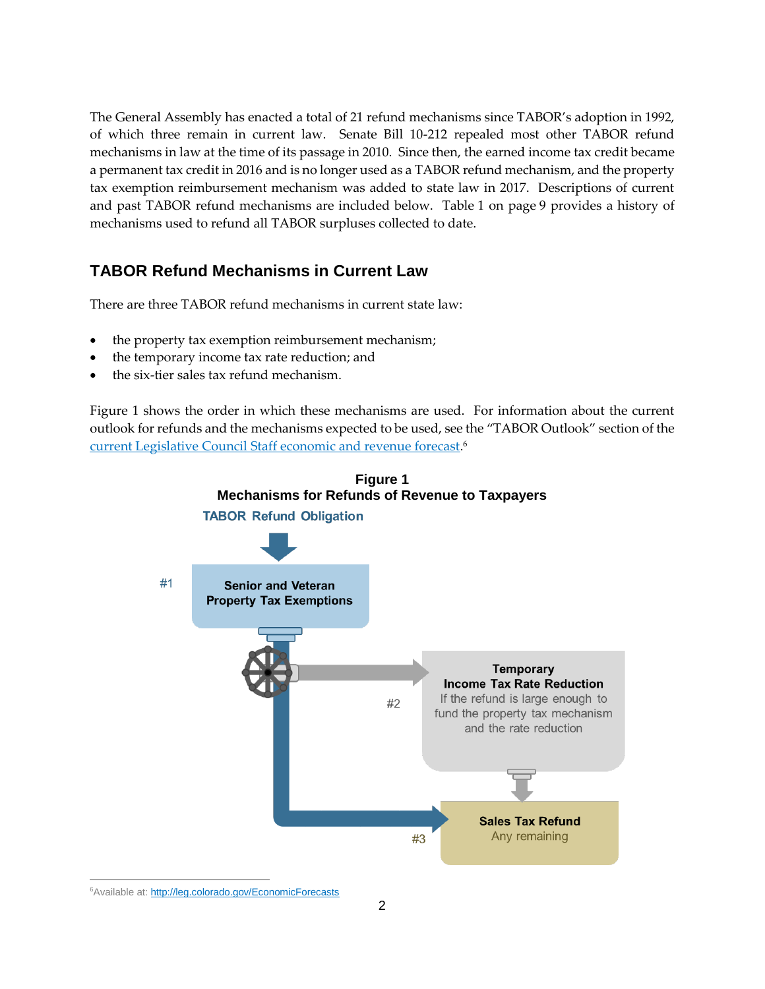The General Assembly has enacted a total of 21 refund mechanisms since TABOR's adoption in 1992, of which three remain in current law. Senate Bill 10-212 repealed most other TABOR refund mechanisms in law at the time of its passage in 2010. Since then, the earned income tax credit became a permanent tax credit in 2016 and is no longer used as a TABOR refund mechanism, and the property tax exemption reimbursement mechanism was added to state law in 2017. Descriptions of current and past TABOR refund mechanisms are included below. Table 1 on page 9 provides a history of mechanisms used to refund all TABOR surpluses collected to date.

### **TABOR Refund Mechanisms in Current Law**

There are three TABOR refund mechanisms in current state law:

- the property tax exemption reimbursement mechanism;
- the temporary income tax rate reduction; and
- the six-tier sales tax refund mechanism.

Figure 1 shows the order in which these mechanisms are used. For information about the current outlook for refunds and the mechanisms expected to be used, see the "TABOR Outlook" section of the [current Legislative Council Staff economic and revenue forecast.](http://leg.colorado.gov/EconomicForecasts) 6

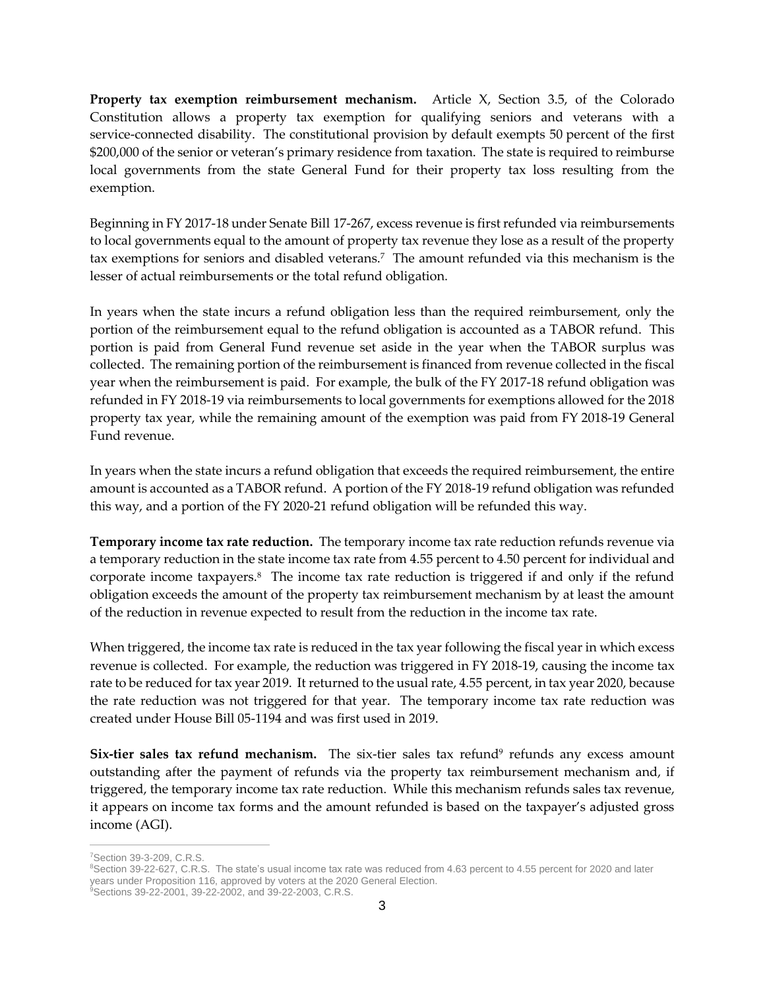**Property tax exemption reimbursement mechanism.** Article X, Section 3.5, of the Colorado Constitution allows a property tax exemption for qualifying seniors and veterans with a service-connected disability. The constitutional provision by default exempts 50 percent of the first \$200,000 of the senior or veteran's primary residence from taxation. The state is required to reimburse local governments from the state General Fund for their property tax loss resulting from the exemption.

Beginning in FY 2017-18 under Senate Bill 17-267, excess revenue is first refunded via reimbursements to local governments equal to the amount of property tax revenue they lose as a result of the property tax exemptions for seniors and disabled veterans.<sup>7</sup> The amount refunded via this mechanism is the lesser of actual reimbursements or the total refund obligation.

In years when the state incurs a refund obligation less than the required reimbursement, only the portion of the reimbursement equal to the refund obligation is accounted as a TABOR refund. This portion is paid from General Fund revenue set aside in the year when the TABOR surplus was collected. The remaining portion of the reimbursement is financed from revenue collected in the fiscal year when the reimbursement is paid. For example, the bulk of the FY 2017-18 refund obligation was refunded in FY 2018-19 via reimbursements to local governments for exemptions allowed for the 2018 property tax year, while the remaining amount of the exemption was paid from FY 2018-19 General Fund revenue.

In years when the state incurs a refund obligation that exceeds the required reimbursement, the entire amount is accounted as a TABOR refund. A portion of the FY 2018-19 refund obligation was refunded this way, and a portion of the FY 2020-21 refund obligation will be refunded this way.

**Temporary income tax rate reduction.** The temporary income tax rate reduction refunds revenue via a temporary reduction in the state income tax rate from 4.55 percent to 4.50 percent for individual and corporate income taxpayers.<sup>8</sup> The income tax rate reduction is triggered if and only if the refund obligation exceeds the amount of the property tax reimbursement mechanism by at least the amount of the reduction in revenue expected to result from the reduction in the income tax rate.

When triggered, the income tax rate is reduced in the tax year following the fiscal year in which excess revenue is collected. For example, the reduction was triggered in FY 2018-19, causing the income tax rate to be reduced for tax year 2019. It returned to the usual rate, 4.55 percent, in tax year 2020, because the rate reduction was not triggered for that year. The temporary income tax rate reduction was created under House Bill 05-1194 and was first used in 2019.

**Six-tier sales tax refund mechanism.** The six-tier sales tax refund<sup>9</sup> refunds any excess amount outstanding after the payment of refunds via the property tax reimbursement mechanism and, if triggered, the temporary income tax rate reduction. While this mechanism refunds sales tax revenue, it appears on income tax forms and the amount refunded is based on the taxpayer's adjusted gross income (AGI).

 $\overline{a}$ <sup>7</sup>Section 39-3-209, C.R.S.

<sup>&</sup>lt;sup>8</sup>Section 39-22-627, C.R.S. The state's usual income tax rate was reduced from 4.63 percent to 4.55 percent for 2020 and later years under Proposition 116, approved by voters at the 2020 General Election.

<sup>&</sup>lt;sup>9</sup>Sections 39-22-2001, 39-22-2002, and 39-22-2003, C.R.S.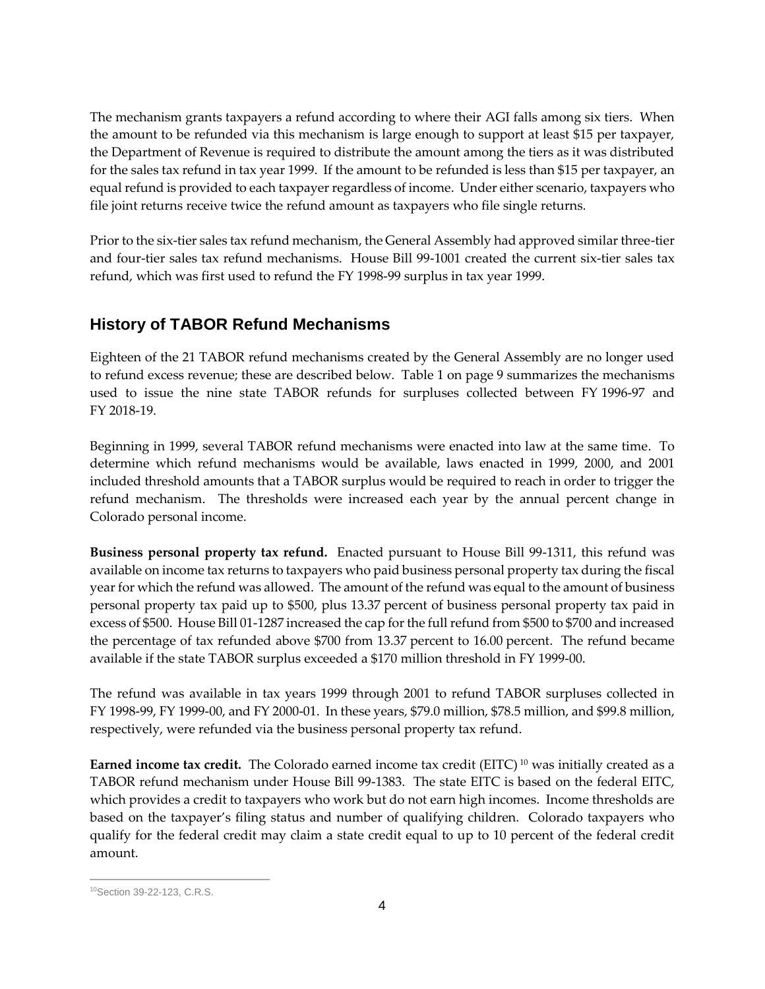The mechanism grants taxpayers a refund according to where their AGI falls among six tiers. When the amount to be refunded via this mechanism is large enough to support at least \$15 per taxpayer, the Department of Revenue is required to distribute the amount among the tiers as it was distributed for the sales tax refund in tax year 1999. If the amount to be refunded is less than \$15 per taxpayer, an equal refund is provided to each taxpayer regardless of income. Under either scenario, taxpayers who file joint returns receive twice the refund amount as taxpayers who file single returns.

Prior to the six-tier sales tax refund mechanism, the General Assembly had approved similar three-tier and four-tier sales tax refund mechanisms. House Bill 99-1001 created the current six-tier sales tax refund, which was first used to refund the FY 1998-99 surplus in tax year 1999.

# **History of TABOR Refund Mechanisms**

Eighteen of the 21 TABOR refund mechanisms created by the General Assembly are no longer used to refund excess revenue; these are described below. Table 1 on page 9 summarizes the mechanisms used to issue the nine state TABOR refunds for surpluses collected between FY 1996-97 and FY 2018-19.

Beginning in 1999, several TABOR refund mechanisms were enacted into law at the same time. To determine which refund mechanisms would be available, laws enacted in 1999, 2000, and 2001 included threshold amounts that a TABOR surplus would be required to reach in order to trigger the refund mechanism. The thresholds were increased each year by the annual percent change in Colorado personal income.

**Business personal property tax refund.** Enacted pursuant to House Bill 99-1311, this refund was available on income tax returns to taxpayers who paid business personal property tax during the fiscal year for which the refund was allowed. The amount of the refund was equal to the amount of business personal property tax paid up to \$500, plus 13.37 percent of business personal property tax paid in excess of \$500. House Bill 01-1287 increased the cap for the full refund from \$500 to \$700 and increased the percentage of tax refunded above \$700 from 13.37 percent to 16.00 percent. The refund became available if the state TABOR surplus exceeded a \$170 million threshold in FY 1999-00.

The refund was available in tax years 1999 through 2001 to refund TABOR surpluses collected in FY 1998-99, FY 1999-00, and FY 2000-01. In these years, \$79.0 million, \$78.5 million, and \$99.8 million, respectively, were refunded via the business personal property tax refund.

**Earned income tax credit.** The Colorado earned income tax credit (EITC)<sup>10</sup> was initially created as a TABOR refund mechanism under House Bill 99-1383. The state EITC is based on the federal EITC, which provides a credit to taxpayers who work but do not earn high incomes. Income thresholds are based on the taxpayer's filing status and number of qualifying children. Colorado taxpayers who qualify for the federal credit may claim a state credit equal to up to 10 percent of the federal credit amount.

 $\overline{a}$ 10Section 39-22-123, C.R.S.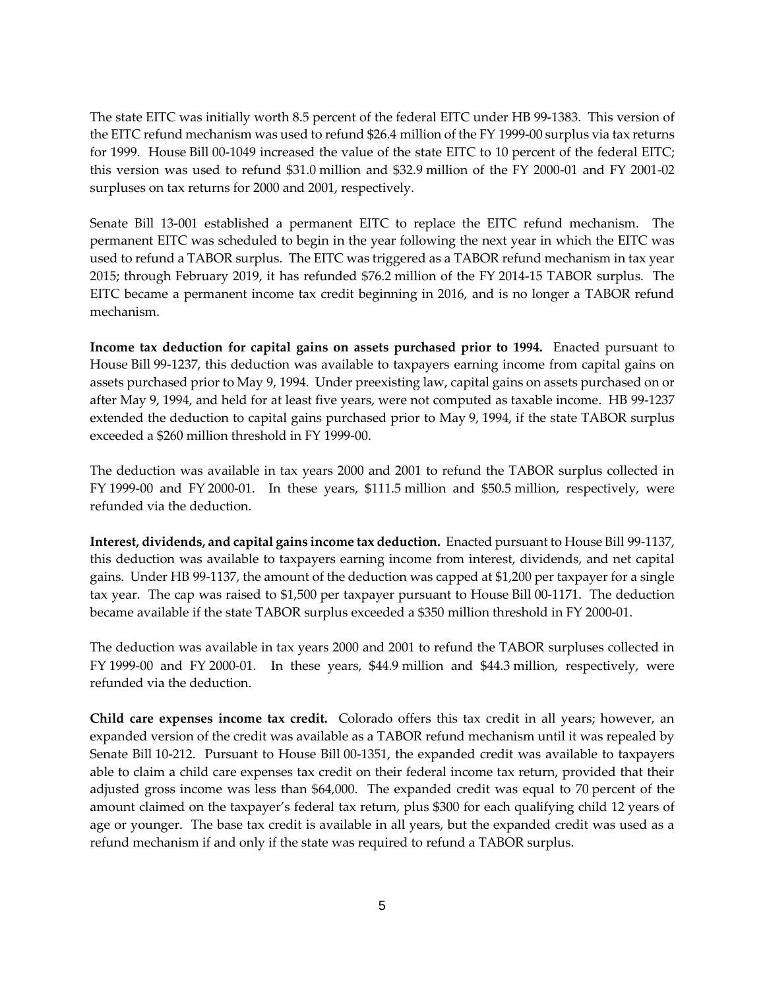The state EITC was initially worth 8.5 percent of the federal EITC under HB 99-1383. This version of the EITC refund mechanism was used to refund \$26.4 million of the FY 1999-00 surplus via tax returns for 1999. House Bill 00-1049 increased the value of the state EITC to 10 percent of the federal EITC; this version was used to refund \$31.0 million and \$32.9 million of the FY 2000-01 and FY 2001-02 surpluses on tax returns for 2000 and 2001, respectively.

Senate Bill 13-001 established a permanent EITC to replace the EITC refund mechanism. The permanent EITC was scheduled to begin in the year following the next year in which the EITC was used to refund a TABOR surplus. The EITC was triggered as a TABOR refund mechanism in tax year 2015; through February 2019, it has refunded \$76.2 million of the FY 2014-15 TABOR surplus. The EITC became a permanent income tax credit beginning in 2016, and is no longer a TABOR refund mechanism.

**Income tax deduction for capital gains on assets purchased prior to 1994.** Enacted pursuant to House Bill 99-1237, this deduction was available to taxpayers earning income from capital gains on assets purchased prior to May 9, 1994. Under preexisting law, capital gains on assets purchased on or after May 9, 1994, and held for at least five years, were not computed as taxable income. HB 99-1237 extended the deduction to capital gains purchased prior to May 9, 1994, if the state TABOR surplus exceeded a \$260 million threshold in FY 1999-00.

The deduction was available in tax years 2000 and 2001 to refund the TABOR surplus collected in FY 1999-00 and FY 2000-01. In these years, \$111.5 million and \$50.5 million, respectively, were refunded via the deduction.

**Interest, dividends, and capital gains income tax deduction.** Enacted pursuant to House Bill 99-1137, this deduction was available to taxpayers earning income from interest, dividends, and net capital gains. Under HB 99-1137, the amount of the deduction was capped at \$1,200 per taxpayer for a single tax year. The cap was raised to \$1,500 per taxpayer pursuant to House Bill 00-1171. The deduction became available if the state TABOR surplus exceeded a \$350 million threshold in FY 2000-01.

The deduction was available in tax years 2000 and 2001 to refund the TABOR surpluses collected in FY 1999-00 and FY 2000-01. In these years, \$44.9 million and \$44.3 million, respectively, were refunded via the deduction.

**Child care expenses income tax credit.** Colorado offers this tax credit in all years; however, an expanded version of the credit was available as a TABOR refund mechanism until it was repealed by Senate Bill 10-212. Pursuant to House Bill 00-1351, the expanded credit was available to taxpayers able to claim a child care expenses tax credit on their federal income tax return, provided that their adjusted gross income was less than \$64,000. The expanded credit was equal to 70 percent of the amount claimed on the taxpayer's federal tax return, plus \$300 for each qualifying child 12 years of age or younger. The base tax credit is available in all years, but the expanded credit was used as a refund mechanism if and only if the state was required to refund a TABOR surplus.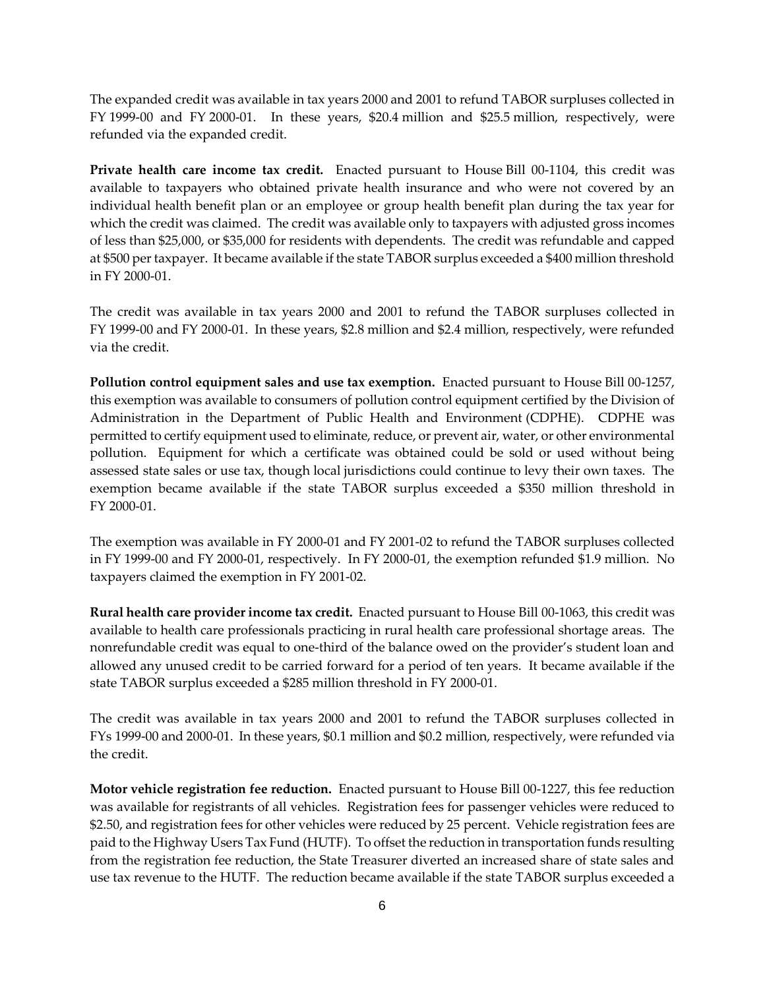The expanded credit was available in tax years 2000 and 2001 to refund TABOR surpluses collected in FY 1999-00 and FY 2000-01. In these years, \$20.4 million and \$25.5 million, respectively, were refunded via the expanded credit.

**Private health care income tax credit.** Enacted pursuant to House Bill 00-1104, this credit was available to taxpayers who obtained private health insurance and who were not covered by an individual health benefit plan or an employee or group health benefit plan during the tax year for which the credit was claimed. The credit was available only to taxpayers with adjusted gross incomes of less than \$25,000, or \$35,000 for residents with dependents. The credit was refundable and capped at \$500 per taxpayer. It became available if the state TABOR surplus exceeded a \$400 million threshold in FY 2000-01.

The credit was available in tax years 2000 and 2001 to refund the TABOR surpluses collected in FY 1999-00 and FY 2000-01. In these years, \$2.8 million and \$2.4 million, respectively, were refunded via the credit.

**Pollution control equipment sales and use tax exemption.** Enacted pursuant to House Bill 00-1257, this exemption was available to consumers of pollution control equipment certified by the Division of Administration in the Department of Public Health and Environment (CDPHE). CDPHE was permitted to certify equipment used to eliminate, reduce, or prevent air, water, or other environmental pollution. Equipment for which a certificate was obtained could be sold or used without being assessed state sales or use tax, though local jurisdictions could continue to levy their own taxes. The exemption became available if the state TABOR surplus exceeded a \$350 million threshold in FY 2000-01.

The exemption was available in FY 2000-01 and FY 2001-02 to refund the TABOR surpluses collected in FY 1999-00 and FY 2000-01, respectively. In FY 2000-01, the exemption refunded \$1.9 million. No taxpayers claimed the exemption in FY 2001-02.

**Rural health care provider income tax credit.** Enacted pursuant to House Bill 00-1063, this credit was available to health care professionals practicing in rural health care professional shortage areas. The nonrefundable credit was equal to one-third of the balance owed on the provider's student loan and allowed any unused credit to be carried forward for a period of ten years. It became available if the state TABOR surplus exceeded a \$285 million threshold in FY 2000-01.

The credit was available in tax years 2000 and 2001 to refund the TABOR surpluses collected in FYs 1999-00 and 2000-01. In these years, \$0.1 million and \$0.2 million, respectively, were refunded via the credit.

**Motor vehicle registration fee reduction.** Enacted pursuant to House Bill 00-1227, this fee reduction was available for registrants of all vehicles. Registration fees for passenger vehicles were reduced to \$2.50, and registration fees for other vehicles were reduced by 25 percent. Vehicle registration fees are paid to the Highway Users Tax Fund (HUTF). To offset the reduction in transportation funds resulting from the registration fee reduction, the State Treasurer diverted an increased share of state sales and use tax revenue to the HUTF. The reduction became available if the state TABOR surplus exceeded a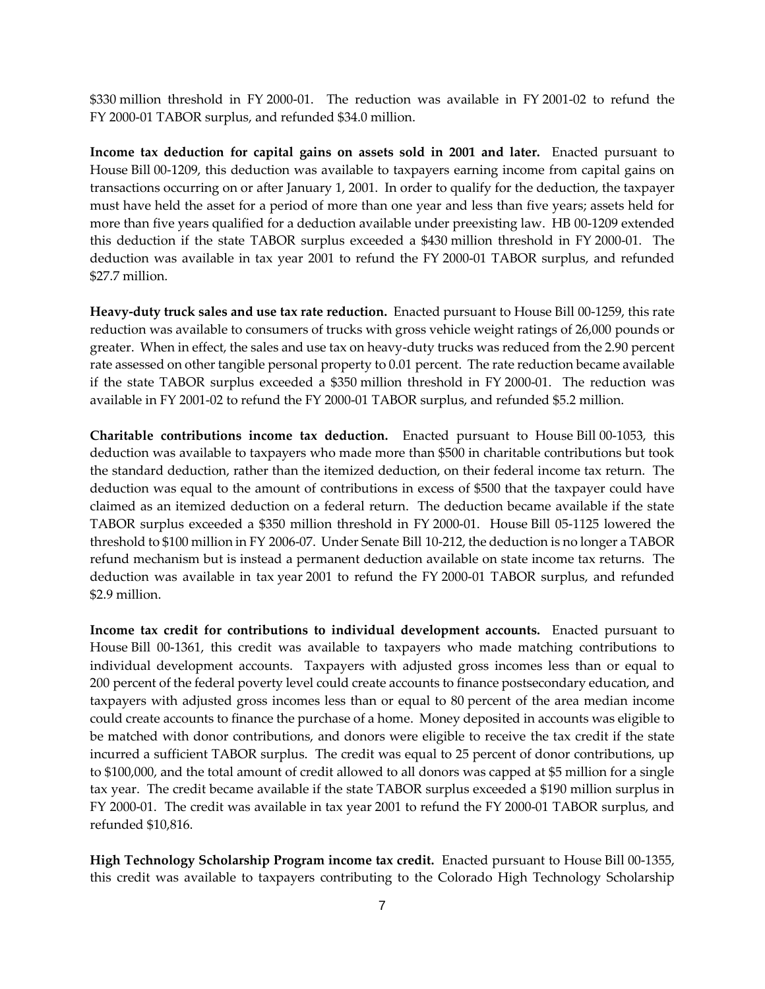\$330 million threshold in FY 2000-01. The reduction was available in FY 2001-02 to refund the FY 2000-01 TABOR surplus, and refunded \$34.0 million.

**Income tax deduction for capital gains on assets sold in 2001 and later.** Enacted pursuant to House Bill 00-1209, this deduction was available to taxpayers earning income from capital gains on transactions occurring on or after January 1, 2001. In order to qualify for the deduction, the taxpayer must have held the asset for a period of more than one year and less than five years; assets held for more than five years qualified for a deduction available under preexisting law. HB 00-1209 extended this deduction if the state TABOR surplus exceeded a \$430 million threshold in FY 2000-01. The deduction was available in tax year 2001 to refund the FY 2000-01 TABOR surplus, and refunded \$27.7 million.

**Heavy-duty truck sales and use tax rate reduction.** Enacted pursuant to House Bill 00-1259, this rate reduction was available to consumers of trucks with gross vehicle weight ratings of 26,000 pounds or greater. When in effect, the sales and use tax on heavy-duty trucks was reduced from the 2.90 percent rate assessed on other tangible personal property to 0.01 percent. The rate reduction became available if the state TABOR surplus exceeded a \$350 million threshold in FY 2000-01. The reduction was available in FY 2001-02 to refund the FY 2000-01 TABOR surplus, and refunded \$5.2 million.

**Charitable contributions income tax deduction.** Enacted pursuant to House Bill 00-1053, this deduction was available to taxpayers who made more than \$500 in charitable contributions but took the standard deduction, rather than the itemized deduction, on their federal income tax return. The deduction was equal to the amount of contributions in excess of \$500 that the taxpayer could have claimed as an itemized deduction on a federal return. The deduction became available if the state TABOR surplus exceeded a \$350 million threshold in FY 2000-01. House Bill 05-1125 lowered the threshold to \$100 million in FY 2006-07. Under Senate Bill 10-212, the deduction is no longer a TABOR refund mechanism but is instead a permanent deduction available on state income tax returns. The deduction was available in tax year 2001 to refund the FY 2000-01 TABOR surplus, and refunded \$2.9 million.

**Income tax credit for contributions to individual development accounts.** Enacted pursuant to House Bill 00-1361, this credit was available to taxpayers who made matching contributions to individual development accounts. Taxpayers with adjusted gross incomes less than or equal to 200 percent of the federal poverty level could create accounts to finance postsecondary education, and taxpayers with adjusted gross incomes less than or equal to 80 percent of the area median income could create accounts to finance the purchase of a home. Money deposited in accounts was eligible to be matched with donor contributions, and donors were eligible to receive the tax credit if the state incurred a sufficient TABOR surplus. The credit was equal to 25 percent of donor contributions, up to \$100,000, and the total amount of credit allowed to all donors was capped at \$5 million for a single tax year. The credit became available if the state TABOR surplus exceeded a \$190 million surplus in FY 2000-01. The credit was available in tax year 2001 to refund the FY 2000-01 TABOR surplus, and refunded \$10,816.

**High Technology Scholarship Program income tax credit.** Enacted pursuant to House Bill 00-1355, this credit was available to taxpayers contributing to the Colorado High Technology Scholarship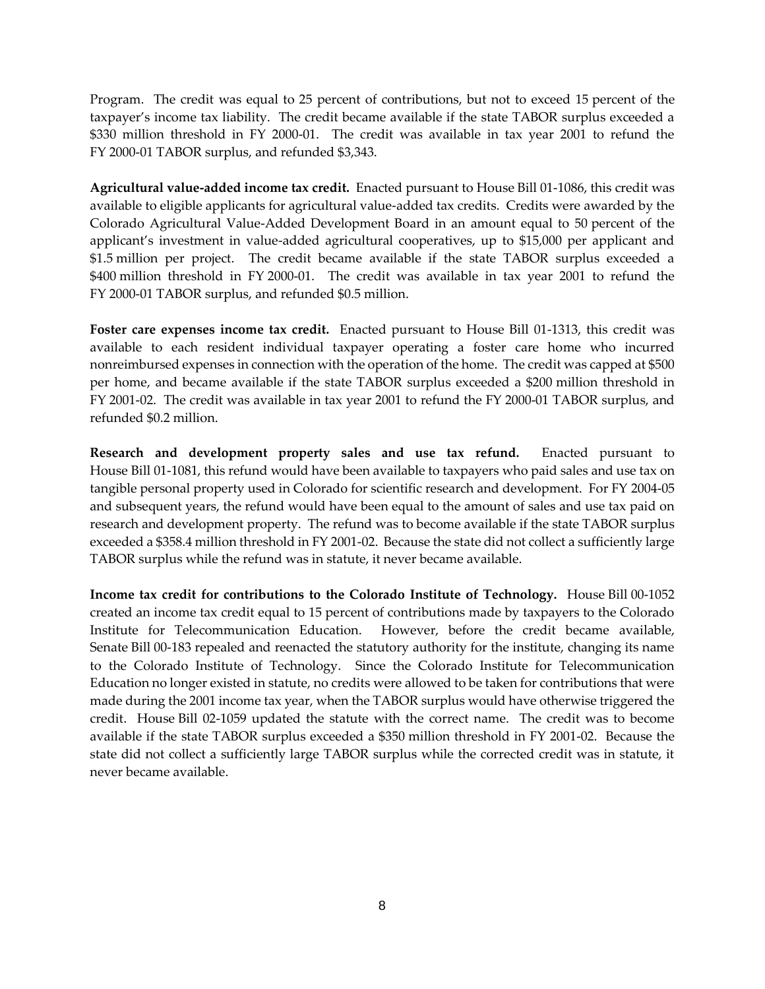Program. The credit was equal to 25 percent of contributions, but not to exceed 15 percent of the taxpayer's income tax liability. The credit became available if the state TABOR surplus exceeded a \$330 million threshold in FY 2000-01. The credit was available in tax year 2001 to refund the FY 2000-01 TABOR surplus, and refunded \$3,343.

**Agricultural value-added income tax credit.** Enacted pursuant to House Bill 01-1086, this credit was available to eligible applicants for agricultural value-added tax credits. Credits were awarded by the Colorado Agricultural Value-Added Development Board in an amount equal to 50 percent of the applicant's investment in value-added agricultural cooperatives, up to \$15,000 per applicant and \$1.5 million per project. The credit became available if the state TABOR surplus exceeded a \$400 million threshold in FY 2000-01. The credit was available in tax year 2001 to refund the FY 2000-01 TABOR surplus, and refunded \$0.5 million.

**Foster care expenses income tax credit.** Enacted pursuant to House Bill 01-1313, this credit was available to each resident individual taxpayer operating a foster care home who incurred nonreimbursed expenses in connection with the operation of the home. The credit was capped at \$500 per home, and became available if the state TABOR surplus exceeded a \$200 million threshold in FY 2001-02. The credit was available in tax year 2001 to refund the FY 2000-01 TABOR surplus, and refunded \$0.2 million.

**Research and development property sales and use tax refund.** Enacted pursuant to House Bill 01-1081, this refund would have been available to taxpayers who paid sales and use tax on tangible personal property used in Colorado for scientific research and development. For FY 2004-05 and subsequent years, the refund would have been equal to the amount of sales and use tax paid on research and development property. The refund was to become available if the state TABOR surplus exceeded a \$358.4 million threshold in FY 2001-02. Because the state did not collect a sufficiently large TABOR surplus while the refund was in statute, it never became available.

**Income tax credit for contributions to the Colorado Institute of Technology.** House Bill 00-1052 created an income tax credit equal to 15 percent of contributions made by taxpayers to the Colorado Institute for Telecommunication Education. However, before the credit became available, Senate Bill 00-183 repealed and reenacted the statutory authority for the institute, changing its name to the Colorado Institute of Technology. Since the Colorado Institute for Telecommunication Education no longer existed in statute, no credits were allowed to be taken for contributions that were made during the 2001 income tax year, when the TABOR surplus would have otherwise triggered the credit. House Bill 02-1059 updated the statute with the correct name. The credit was to become available if the state TABOR surplus exceeded a \$350 million threshold in FY 2001-02. Because the state did not collect a sufficiently large TABOR surplus while the corrected credit was in statute, it never became available.